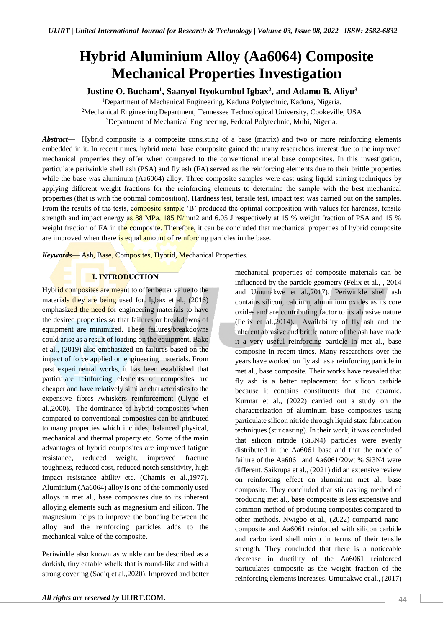# **Hybrid Aluminium Alloy (Aa6064) Composite Mechanical Properties Investigation**

# **Justine O. Bucham<sup>1</sup> , Saanyol Ityokumbul Igbax<sup>2</sup> , and Adamu B. Aliyu<sup>3</sup>**

<sup>1</sup>Department of Mechanical Engineering, Kaduna Polytechnic, Kaduna, Nigeria. <sup>2</sup>Mechanical Engineering Department, Tennessee Technological University, Cookeville, USA <sup>3</sup>Department of Mechanical Engineering, Federal Polytechnic, Mubi, Nigeria.

*Abstract—* Hybrid composite is a composite consisting of a base (matrix) and two or more reinforcing elements embedded in it. In recent times, hybrid metal base composite gained the many researchers interest due to the improved mechanical properties they offer when compared to the conventional metal base composites. In this investigation, particulate periwinkle shell ash (PSA) and fly ash (FA) served as the reinforcing elements due to their brittle properties while the base was aluminum (Aa6064) alloy. Three composite samples were cast using liquid stirring techniques by applying different weight fractions for the reinforcing elements to determine the sample with the best mechanical properties (that is with the optimal composition). Hardness test, tensile test, impact test was carried out on the samples. From the results of the tests, composite sample 'B' produced the optimal composition with values for hardness, tensile strength and impact energy as 88 MPa, 185 N/mm2 and 6.05 J respectively at 15 % weight fraction of PSA and 15 % weight fraction of FA in the composite. Therefore, it can be concluded that mechanical properties of hybrid composite are improved when there is equal amount of reinforcing particles in the base.

*Keywords—* Ash, Base, Composites, Hybrid, Mechanical Properties.

# **I. INTRODUCTION**

Hybrid composites are meant to offer better value to the materials they are being used for. Igbax et al., (2016) emphasized the need for engineering materials to have the desired properties so that failures or breakdowns of equipment are minimized. These failures/breakdowns could arise as a result of loading on the equipment. Bako et al., (2019) also emphasized on failures based on the impact of force applied on engineering materials. From past experimental works, it has been established that particulate reinforcing elements of composites are cheaper and have relatively similar characteristics to the expensive fibres /whiskers reinforcement (Clyne et al.,2000). The dominance of hybrid composites when compared to conventional composites can be attributed to many properties which includes; balanced physical, mechanical and thermal property etc. Some of the main advantages of hybrid composites are improved fatigue resistance, reduced weight, improved fracture toughness, reduced cost, reduced notch sensitivity, high impact resistance ability etc. (Chamis et al.,1977). Aluminium (Aa6064) alloy is one of the commonly used alloys in met al., base composites due to its inherent alloying elements such as magnesium and silicon. The magnesium helps to improve the bonding between the alloy and the reinforcing particles adds to the mechanical value of the composite.

Periwinkle also known as winkle can be described as a darkish, tiny eatable whelk that is round-like and with a strong covering (Sadiq et al.,2020). Improved and better mechanical properties of composite materials can be influenced by the particle geometry (Felix et al., , 2014 and Umunakwe et al.,2017). Periwinkle shell ash contains silicon, calcium, aluminium oxides as its core oxides and are contributing factor to its abrasive nature (Felix et  $|a|$ , 2014). Availability of fly ash and the inherent abrasive and brittle nature of the ash have made it a very useful reinforcing particle in met al., base composite in recent times. Many researchers over the years have worked on fly ash as a reinforcing particle in met al., base composite. Their works have revealed that fly ash is a better replacement for silicon carbide because it contains constituents that are ceramic. Kurmar et al., (2022) carried out a study on the characterization of aluminum base composites using particulate silicon nitride through liquid state fabrication techniques (stir casting). In their work, it was concluded that silicon nitride (Si3N4) particles were evenly distributed in the Aa6061 base and that the mode of failure of the Aa6061 and Aa6061/20wt % Si3N4 were different. Saikrupa et al., (2021) did an extensive review on reinforcing effect on aluminium met al., base composite. They concluded that stir casting method of producing met al., base composite is less expensive and common method of producing composites compared to other methods. Nwigbo et al., (2022) compared nanocomposite and Aa6061 reinforced with silicon carbide and carbonized shell micro in terms of their tensile strength. They concluded that there is a noticeable decrease in ductility of the Aa6061 reinforced particulates composite as the weight fraction of the reinforcing elements increases. Umunakwe et al., (2017)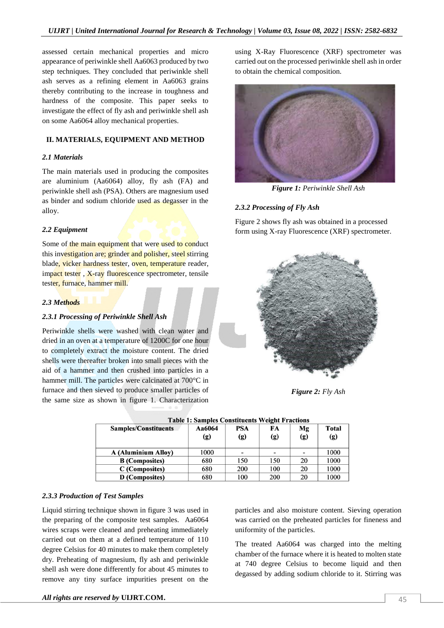assessed certain mechanical properties and micro appearance of periwinkle shell Aa6063 produced by two step techniques. They concluded that periwinkle shell ash serves as a refining element in Aa6063 grains thereby contributing to the increase in toughness and hardness of the composite. This paper seeks to investigate the effect of fly ash and periwinkle shell ash on some Aa6064 alloy mechanical properties.

# **II. MATERIALS, EQUIPMENT AND METHOD**

#### *2.1 Materials*

The main materials used in producing the composites are aluminium (Aa6064) alloy, fly ash (FA) and periwinkle shell ash (PSA). Others are magnesium used as binder and sodium chloride used as degasser in the alloy.

# *2.2 Equipment*

Some of the main equipment that were used to conduct this investigation are; grinder and polisher, steel stirring blade, vicker hardness tester, oven, temperature reader, impact tester, X-ray fluorescence spectrometer, tensile tester, furnace, hammer mill.

## *2.3 Methods*

# *2.3.1 Processing of Periwinkle Shell Ash*

Periwinkle shells were washed with clean water and dried in an oven at a temperature of 1200C for one hour to completely extract the moisture content. The dried shells were thereafter broken into small pieces with the aid of a hammer and then crushed into particles in a hammer mill. The particles were calcinated at 700 °C in furnace and then sieved to produce smaller particles of the same size as shown in figure 1. Characterization

using X-Ray Fluorescence (XRF) spectrometer was carried out on the processed periwinkle shell ash in order to obtain the chemical composition.



*Figure 1: Periwinkle Shell Ash*

# *2.3.2 Processing of Fly Ash*

Figure 2 shows fly ash was obtained in a processed form using X-ray Fluorescence (XRF) spectrometer.



*Figure 2: Fly Ash*

| Samples/Constituents       | Aa6064<br>(g) | <b>PSA</b><br>(g) | FA<br>(g) | Mg<br>(g)                | Total<br>(g) |
|----------------------------|---------------|-------------------|-----------|--------------------------|--------------|
| <b>A (Aluminium Alloy)</b> | 1000          |                   |           | $\overline{\phantom{0}}$ | 1000         |
| <b>B</b> (Composites)      | 680           | 150               | 150       | 20                       | 1000         |
| C (Composites)             | 680           | 200               | 100       | 20                       | 1000         |
| D (Composites)             | 680           | 100               | 200       | 20                       | 1000         |

|  |  | <b>Table 1: Samples Constituents Weight Fractions</b> |  |  |  |
|--|--|-------------------------------------------------------|--|--|--|
|  |  |                                                       |  |  |  |

# *2.3.3 Production of Test Samples*

Liquid stirring technique shown in figure 3 was used in the preparing of the composite test samples. Aa6064 wires scraps were cleaned and preheating immediately carried out on them at a defined temperature of 110 degree Celsius for 40 minutes to make them completely dry. Preheating of magnesium, fly ash and periwinkle shell ash were done differently for about 45 minutes to remove any tiny surface impurities present on the

particles and also moisture content. Sieving operation was carried on the preheated particles for fineness and uniformity of the particles.

The treated Aa6064 was charged into the melting chamber of the furnace where it is heated to molten state at 740 degree Celsius to become liquid and then degassed by adding sodium chloride to it. Stirring was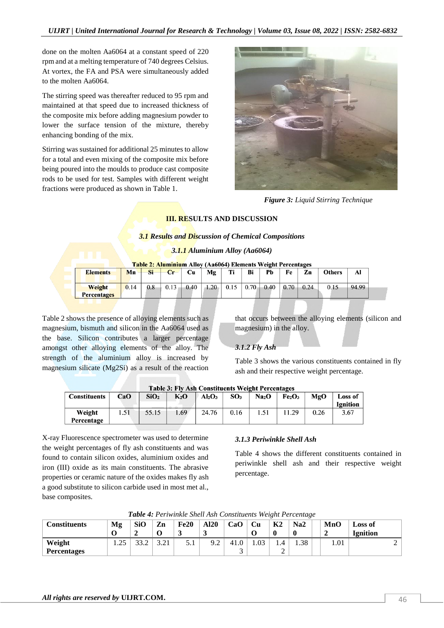done on the molten Aa6064 at a constant speed of 220 rpm and at a melting temperature of 740 degrees Celsius. At vortex, the FA and PSA were simultaneously added to the molten Aa6064.

The stirring speed was thereafter reduced to 95 rpm and maintained at that speed due to increased thickness of the composite mix before adding magnesium powder to lower the surface tension of the mixture, thereby enhancing bonding of the mix.

Stirring was sustained for additional 25 minutes to allow for a total and even mixing of the composite mix before being poured into the moulds to produce cast composite rods to be used for test. Samples with different weight fractions were produced as shown in Table 1.



*Figure 3: Liquid Stirring Technique*

# **III. RESULTS AND DISCUSSION**

# *3.1 Results and Discussion of Chemical Compositions*

*3.1.1 Aluminium Alloy (Aa6064)*

|  |  |  | <mark>`able 2: Aluminiu</mark> m Alloy (Aa6064) Elements Weight Percentages |
|--|--|--|-----------------------------------------------------------------------------|
|--|--|--|-----------------------------------------------------------------------------|

| <b>Elements</b>    | Mn   | Si  | $cr$ | <b>Cu</b> | Mg   | т:   | Bi       | Pb   | Fe   | Zn   | <b>Others</b> | Al    |
|--------------------|------|-----|------|-----------|------|------|----------|------|------|------|---------------|-------|
| Weight             | 0.14 | 0.8 | 0.13 | 0.40      | 1.20 | 0.15 | $0.70 +$ | 0.40 | 0.70 | 0.24 | 0.15          | 94.99 |
| <b>Percentages</b> |      |     |      |           |      |      |          |      |      |      |               |       |

Table 2 shows the presence of alloying elements such as magnesium, bismuth and silicon in the Aa6064 used as the base. Silicon contributes a larger percentage amongst other alloying elements of the alloy. The strength of the aluminium alloy is increased by magnesium silicate (Mg2Si) as a result of the reaction

that occurs between the alloying elements (silicon and magnesium) in the alloy.

# *3.1.2 Fly Ash*

Table 3 shows the various constituents contained in fly ash and their respective weight percentage.

| <b>Table 3: Fly Ash Constituents Weight Percentages</b> |          |                  |        |       |                 |                   |                                |      |                 |  |
|---------------------------------------------------------|----------|------------------|--------|-------|-----------------|-------------------|--------------------------------|------|-----------------|--|
| <b>Constituents</b>                                     | CaO      | SiO <sub>2</sub> | $K_2O$ | Al2O3 | SO <sub>3</sub> | Na <sub>2</sub> O | Fe <sub>2</sub> O <sub>3</sub> | MgO  | Loss of         |  |
|                                                         |          |                  |        |       |                 |                   |                                |      | <b>Ignition</b> |  |
| Weight                                                  | $.5^{1}$ | 55.15            | 69     | 24.76 | 0.16            | 1.51              | 11.29                          | 0.26 | 3.67            |  |
| Percentage                                              |          |                  |        |       |                 |                   |                                |      |                 |  |

X-ray Fluorescence spectrometer was used to determine the weight percentages of fly ash constituents and was found to contain silicon oxides, aluminium oxides and iron (III) oxide as its main constituents. The abrasive properties or ceramic nature of the oxides makes fly ash a good substitute to silicon carbide used in most met al., base composites.

# *3.1.3 Periwinkle Shell Ash*

Table 4 shows the different constituents contained in periwinkle shell ash and their respective weight percentage.

| <b>Tuble 4.</b> I criminate plical rish Constituents weight I creeninge |            |            |                         |      |             |      |      |                |      |      |                     |  |
|-------------------------------------------------------------------------|------------|------------|-------------------------|------|-------------|------|------|----------------|------|------|---------------------|--|
| <b>Constituents</b>                                                     | Mg         | <b>SiO</b> | Zn                      | Fe20 | <b>Al20</b> | CaO  | Cu   | K <sub>2</sub> | Na2  | MnO  | Loss of<br>Ignition |  |
| Weight<br><b>Percentages</b>                                            | つぐ<br>ل⊾ 1 |            | $^{\circ}$ 1<br>⊥ ∠ ، د | 5.1  | 9.2         | 41.0 | 1.03 | 1.4            | 1.38 | 1.01 |                     |  |
|                                                                         |            |            |                         |      |             |      |      |                |      |      |                     |  |

*Table 4: Periwinkle Shell Ash Constituents Weight Percentage*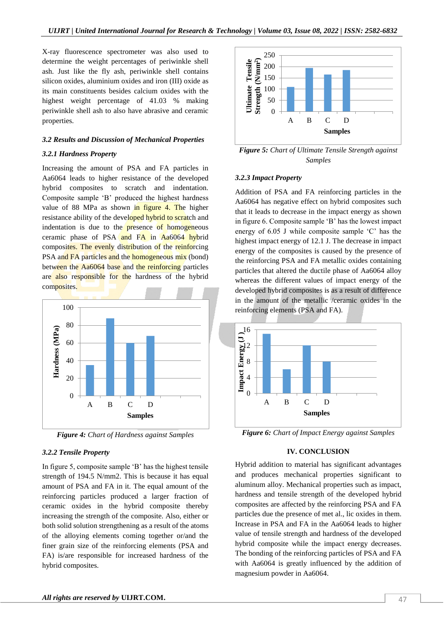X-ray fluorescence spectrometer was also used to determine the weight percentages of periwinkle shell ash. Just like the fly ash, periwinkle shell contains silicon oxides, aluminium oxides and iron (III) oxide as its main constituents besides calcium oxides with the highest weight percentage of 41.03 % making periwinkle shell ash to also have abrasive and ceramic properties.

# *3.2 Results and Discussion of Mechanical Properties*

#### *3.2.1 Hardness Property*

Increasing the amount of PSA and FA particles in Aa6064 leads to higher resistance of the developed hybrid composites to scratch and indentation. Composite sample 'B' produced the highest hardness value of 88 MPa as shown in figure 4. The higher resistance ability of the developed hybrid to scratch and indentation is due to the **presence** of homogeneous ceramic phase of PSA $\frac{\text{and } F_A}{\text{and } F_A}$  in Aa6064 hybrid composites. The evenly distribution of the reinforcing PSA and FA particles and the homogeneous mix (bond) between the Aa6064 base and the reinforcing particles are also responsible for the hardness of the hybrid composites.



*Figure 4: Chart of Hardness against Samples*

# *3.2.2 Tensile Property*

In figure 5, composite sample 'B' has the highest tensile strength of 194.5 N/mm2. This is because it has equal amount of PSA and FA in it. The equal amount of the reinforcing particles produced a larger fraction of ceramic oxides in the hybrid composite thereby increasing the strength of the composite. Also, either or both solid solution strengthening as a result of the atoms of the alloying elements coming together or/and the finer grain size of the reinforcing elements (PSA and FA) is/are responsible for increased hardness of the hybrid composites.



*Figure 5: Chart of Ultimate Tensile Strength against Samples*

#### *3.2.3 Impact Property*

Addition of PSA and FA reinforcing particles in the Aa6064 has negative effect on hybrid composites such that it leads to decrease in the impact energy as shown in figure 6. Composite sample 'B' has the lowest impact energy of 6.05 J while composite sample 'C' has the highest impact energy of 12.1 J. The decrease in impact energy of the composites is caused by the presence of the reinforcing PSA and FA metallic oxides containing particles that altered the ductile phase of Aa6064 alloy whereas the different values of impact energy of the developed hybrid composites is as a result of difference in the amount of the metallic /ceramic oxides in the reinforcing elements (PSA and FA).



*Figure 6: Chart of Impact Energy against Samples*

#### **IV. CONCLUSION**

Hybrid addition to material has significant advantages and produces mechanical properties significant to aluminum alloy. Mechanical properties such as impact, hardness and tensile strength of the developed hybrid composites are affected by the reinforcing PSA and FA particles due the presence of met al., lic oxides in them. Increase in PSA and FA in the Aa6064 leads to higher value of tensile strength and hardness of the developed hybrid composite while the impact energy decreases. The bonding of the reinforcing particles of PSA and FA with Aa6064 is greatly influenced by the addition of magnesium powder in Aa6064.